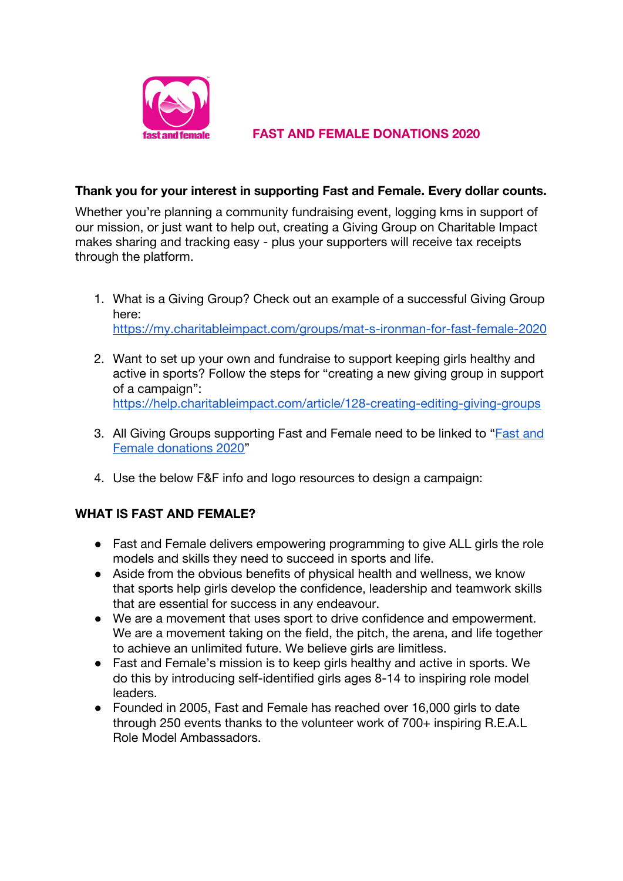

## **FAST AND FEMALE DONATIONS 2020**

### **Thank you for your interest in supporting Fast and Female. Every dollar counts.**

Whether you're planning a community fundraising event, logging kms in support of our mission, or just want to help out, creating a Giving Group on Charitable Impact makes sharing and tracking easy - plus your supporters will receive tax receipts through the platform.

- 1. What is a Giving Group? Check out an example of a successful Giving Group here: <https://my.charitableimpact.com/groups/mat-s-ironman-for-fast-female-2020>
- 2. Want to set up your own and fundraise to support keeping girls healthy and active in sports? Follow the steps for "creating a new giving group in support of a campaign": <https://help.charitableimpact.com/article/128-creating-editing-giving-groups>
- 3. All Giving Groups supporting [Fast and](https://my.charitableimpact.com/campaigns/fast-and-female-donations-2020) Female need to be linked to "**Fast and** [Female donations 2020"](https://my.charitableimpact.com/campaigns/fast-and-female-donations-2020)
- 4. Use the below F&F info and logo resources to design a campaign:

# **WHAT IS FAST AND FEMALE?**

- Fast and Female delivers empowering programming to give ALL girls the role models and skills they need to succeed in sports and life.
- Aside from the obvious benefits of physical health and wellness, we know that sports help girls develop the confidence, leadership and teamwork skills that are essential for success in any endeavour.
- We are a movement that uses sport to drive confidence and empowerment. We are a movement taking on the field, the pitch, the arena, and life together to achieve an unlimited future. We believe girls are limitless.
- Fast and Female's mission is to keep girls healthy and active in sports. We do this by introducing self-identified girls ages 8-14 to inspiring role model leaders.
- Founded in 2005, Fast and Female has reached over 16,000 girls to date through 250 events thanks to the volunteer work of 700+ inspiring R.E.A.L Role Model Ambassadors.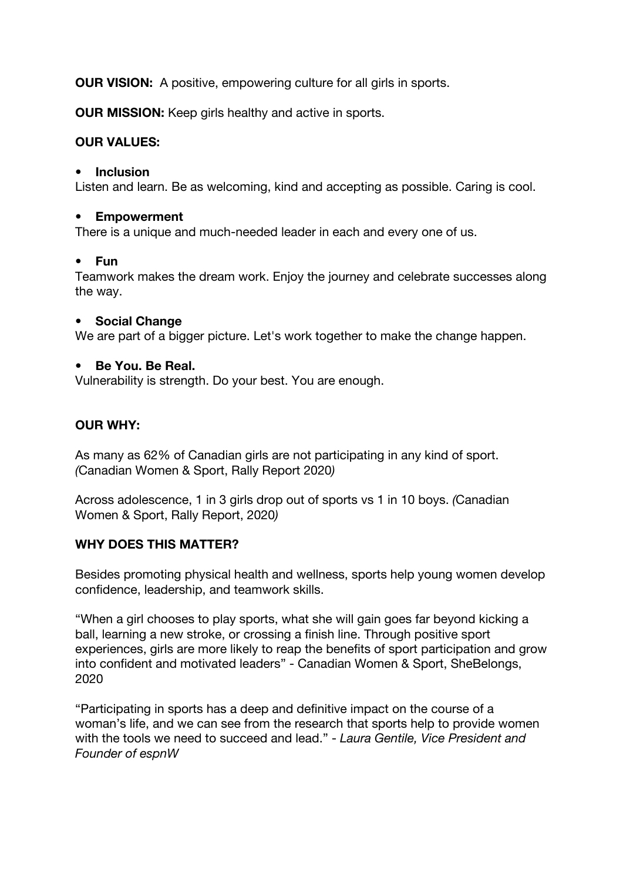**OUR VISION:** A positive, empowering culture for all girls in sports.

**OUR MISSION:** Keep girls healthy and active in sports.

# **OUR VALUES:**

#### **• Inclusion**

Listen and learn. Be as welcoming, kind and accepting as possible. Caring is cool.

#### **• Empowerment**

There is a unique and much-needed leader in each and every one of us.

#### **• Fun**

Teamwork makes the dream work. Enjoy the journey and celebrate successes along the way.

#### **• Social Change**

We are part of a bigger picture. Let's work together to make the change happen.

#### **• Be You. Be Real.**

Vulnerability is strength. Do your best. You are enough.

# **OUR WHY:**

As many as 62% of Canadian girls are not participating in any kind of sport. *(*Canadian Women & Sport, Rally Report 2020*)*

Across adolescence, 1 in 3 girls drop out of sports vs 1 in 10 boys. *(*Canadian Women & Sport, Rally Report, 2020*)*

#### **WHY DOES THIS MATTER?**

Besides promoting physical health and wellness, sports help young women develop confidence, leadership, and teamwork skills.

"When a girl chooses to play sports, what she will gain goes far beyond kicking a ball, learning a new stroke, or crossing a finish line. Through positive sport experiences, girls are more likely to reap the benefits of sport participation and grow into confident and motivated leaders" - Canadian Women & Sport, SheBelongs, 2020

"Participating in sports has a deep and definitive impact on the course of a woman's life, and we can see from the research that sports help to provide women with the tools we need to succeed and lead." - *Laura Gentile, Vice President and Founder of espnW*